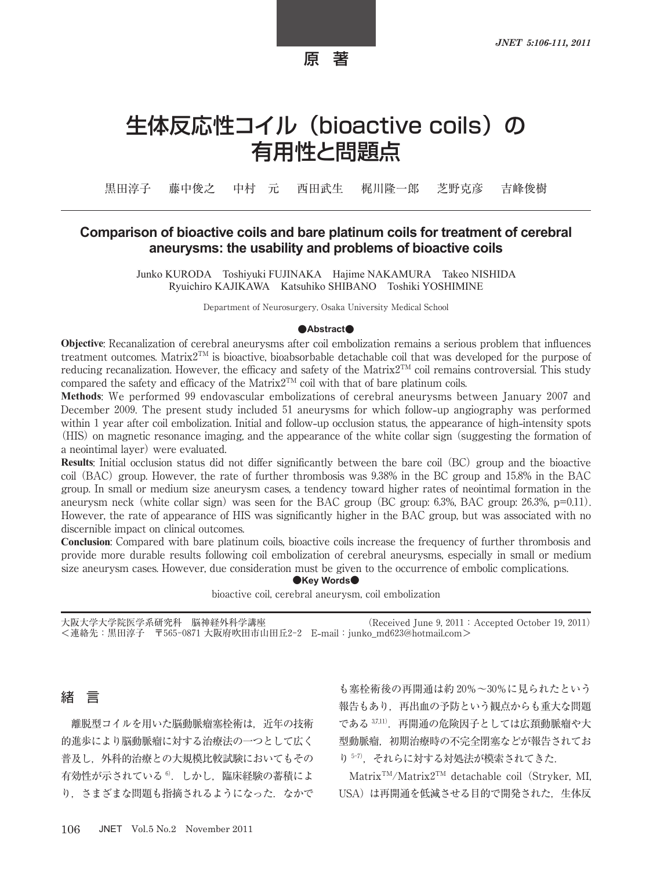原 著

# 生体反応性コイル (bioactive coils) の 有用性と問題点

黒田淳子 藤中俊之 中村 元 西田武生 梶川隆一郎 芝野克彦 吉峰俊樹

#### **Comparison of bioactive coils and bare platinum coils for treatment of cerebral aneurysms: the usability and problems of bioactive coils**

Junko KURODA Toshiyuki FUJINAKA Hajime NAKAMURA Takeo NISHIDA Ryuichiro KAJIKAWA Katsuhiko SHIBANO Toshiki YOSHIMINE

Department of Neurosurgery, Osaka University Medical School

#### **●Abstract●**

**Objective**: Recanalization of cerebral aneurysms after coil embolization remains a serious problem that influences treatment outcomes. Matrix $2^{TM}$  is bioactive, bioabsorbable detachable coil that was developed for the purpose of reducing recanalization. However, the efficacy and safety of the Matrix2<sup>TM</sup> coil remains controversial. This study compared the safety and efficacy of the Matrix2<sup>TM</sup> coil with that of bare platinum coils.

**Methods**: We performed 99 endovascular embolizations of cerebral aneurysms between January 2007 and December 2009. The present study included 51 aneurysms for which follow**-**up angiography was performed within 1 year after coil embolization. Initial and follow**-**up occlusion status, the appearance of high**-**intensity spots (HIS) on magnetic resonance imaging, and the appearance of the white collar sign (suggesting the formation of a neointimal layer) were evaluated.

**Results**: Initial occlusion status did not differ significantly between the bare coil (BC) group and the bioactive coil (BAC) group. However, the rate of further thrombosis was 9.38% in the BC group and 15.8% in the BAC group. In small or medium size aneurysm cases, a tendency toward higher rates of neointimal formation in the aneurysm neck (white collar sign) was seen for the BAC group (BC group:  $6.3\%$ , BAC group:  $26.3\%$ ,  $p=0.11$ ). However, the rate of appearance of HIS was significantly higher in the BAC group, but was associated with no discernible impact on clinical outcomes.

**Conclusion**: Compared with bare platinum coils, bioactive coils increase the frequency of further thrombosis and provide more durable results following coil embolization of cerebral aneurysms, especially in small or medium size aneurysm cases. However, due consideration must be given to the occurrence of embolic complications.

**●Key Words●**

bioactive coil, cerebral aneurysm, coil embolization

大阪大学大学院医学系研究科 脳神経外科学講座 (Received June 9, 2011:Accepted October 19, 2011) <連絡先:黒田淳子 〒565-0871 大阪府吹田市山田丘2-2 E**-**mail:junko\_md623@hotmail.com>

#### 緒 言

離脱型コイルを用いた脳動脈瘤塞栓術は,近年の技術 的進歩により脳動脈瘤に対する治療法の一つとして広く 普及し,外科的治療との大規模比較試験においてもその 有効性が示されている<sup>6)</sup>. しかし、臨床経験の蓄積によ り、さまざまな問題も指摘されるようになった. なかで

も塞栓術後の再開通は約 20%~30%に見られたという 報告もあり,再出血の予防という観点からも重大な問題 である 37,11). 再開通の危険因子としては広頚動脈瘤や大 型動脈瘤,初期治療時の不完全閉塞などが報告されてお り 5-7). それらに対する対処法が模索されてきた.

Matrix<sup>TM</sup>/Matrix2<sup>TM</sup> detachable coil (Stryker, MI, USA)は再開通を低減させる目的で開発された、生体反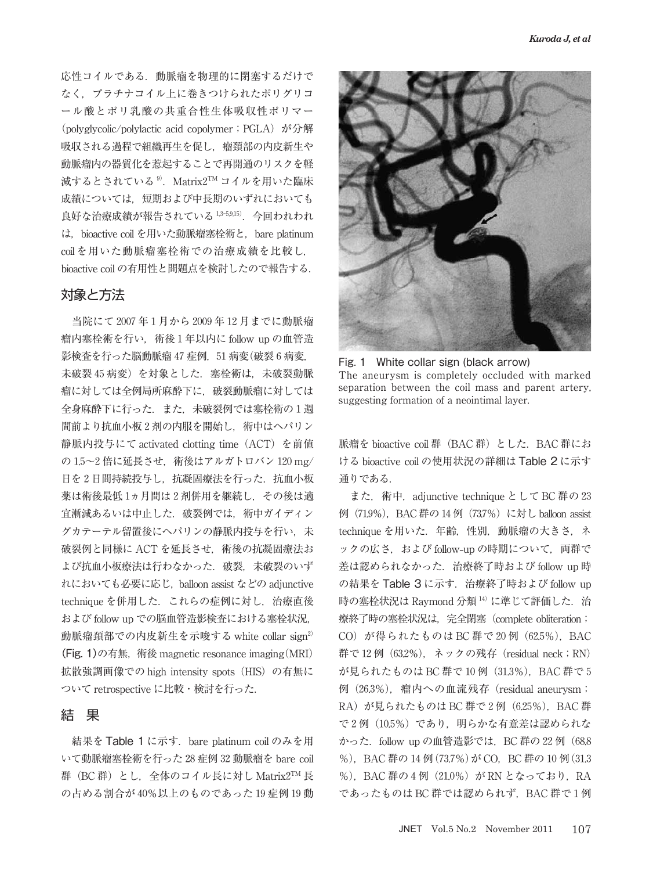応性コイルである.動脈瘤を物理的に閉塞するだけで なく、プラチナコイル上に巻きつけられたポリグリコ ール酸とポリ乳酸の共重合性生体吸収性ポリマー (polyglycolic/polylactic acid copolymer; PGLA) が分解 吸収される過程で組織再生を促し,瘤頚部の内皮新生や 動脈瘤内の器質化を惹起することで再開通のリスクを軽 減するとされている<sup>9</sup>. Matrix2<sup>TM</sup> コイルを用いた臨床 成績については、短期および中長期のいずれにおいても 良好な治療成績が報告されている 1,3-5,9,15). 今回われわれ は、bioactive coil を用いた動脈瘤塞栓術と, bare platinum coil を用いた動脈瘤塞栓術での治療成績を比較し, bioactive coil の有用性と問題点を検討したので報告する.

### 対象と方法

当院にて 2007 年 1 月から 2009 年 12 月までに動脈瘤 瘤内塞栓術を行い, 術後1年以内に follow up の血管造 影検査を行った脳動脈瘤 47 症例, 51 病変(破裂 6 病変, 未破裂45病変)を対象とした. 塞栓術は、未破裂動脈 瘤に対しては全例局所麻酔下に,破裂動脈瘤に対しては 全身麻酔下に行った.また,未破裂例では塞栓術の 1 週 間前より抗血小板 2 剤の内服を開始し,術中はヘパリン 静脈内投与にて activated clotting time(ACT)を前値 の $1.5$ ~2 倍に延長させ、術後はアルガトロバン 120 mg/ 日を2日間持続投与し、抗凝固療法を行った. 抗血小板 薬は術後最低1ヵ月間は2剤併用を継続し、その後は適 宜漸減あるいは中止した.破裂例では,術中ガイディン グカテーテル留置後にヘパリンの静脈内投与を行い,未 破裂例と同様に ACT を延長させ、術後の抗凝固療法お よび抗血小板療法は行わなかった. 破裂,未破裂のいず れにおいても必要に応じ,balloon assist などの adjunctive technique を併用した. これらの症例に対し、治療直後 および follow up での脳血管造影検査における塞栓状況, 動脈瘤頚部での内皮新生を示唆する white collar sign<sup>2)</sup> (Fig. 1)の有無,術後 magnetic resonance imaging(MRI) 拡散強調画像での high intensity spots(HIS)の有無に ついて retrospective に比較・検討を行った.

#### 結 果

結果を Table 1 に示す. bare platinum coil のみを用 いて動脈瘤塞栓術を行った 28 症例 32 動脈瘤を bare coil 群(BC 群)とし,全体のコイル長に対し Matrix2TM 長 の占める割合が 40%以上のものであった 19 症例 19 動



Fig. 1 White collar sign (black arrow) The aneurysm is completely occluded with marked separation between the coil mass and parent artery, suggesting formation of a neointimal layer.

脈瘤を bioactive coil 群(BAC 群)とした.BAC 群にお ける bioactive coil の使用状況の詳細は Table 2 に示す 通りである.

また, 術中, adjunctive technique として BC 群の 23 例(71.9%),BAC 群の 14 例(73.7%)に対し balloon assist technique を用いた. 年齢, 性別, 動脈瘤の大きさ, ネ ックの広さ,および follow**-**up の時期について,両群で 差は認められなかった. 治療終了時および follow up 時 の結果を Table 3に示す. 治療終了時および follow up 時の塞栓状況は Raymond 分類 14)に準じて評価した. 治 療終了時の塞栓状況は、完全閉塞 (complete obliteration; CO) が得られたものは BC 群で 20 例 (62.5%), BAC 群で 12 例 (63.2%), ネックの残存 (residual neck; RN) が見られたものは BC 群で 10 例 (31.3%), BAC 群で 5 例(26.3%),瘤内への血流残存(residual aneurysm; RA) が見られたものは BC 群で2例 (6.25%), BAC 群 で2例(10.5%)であり、明らかな有意差は認められな かった. follow up の血管造影では, BC 群の 22 例 (68.8 %), BAC 群の 14 例 (73.7%) が CO, BC 群の 10 例 (31.3) %), BAC 群の 4 例 (21.0%) が RN となっており, RA であったものは BC 群では認められず,BAC 群で 1 例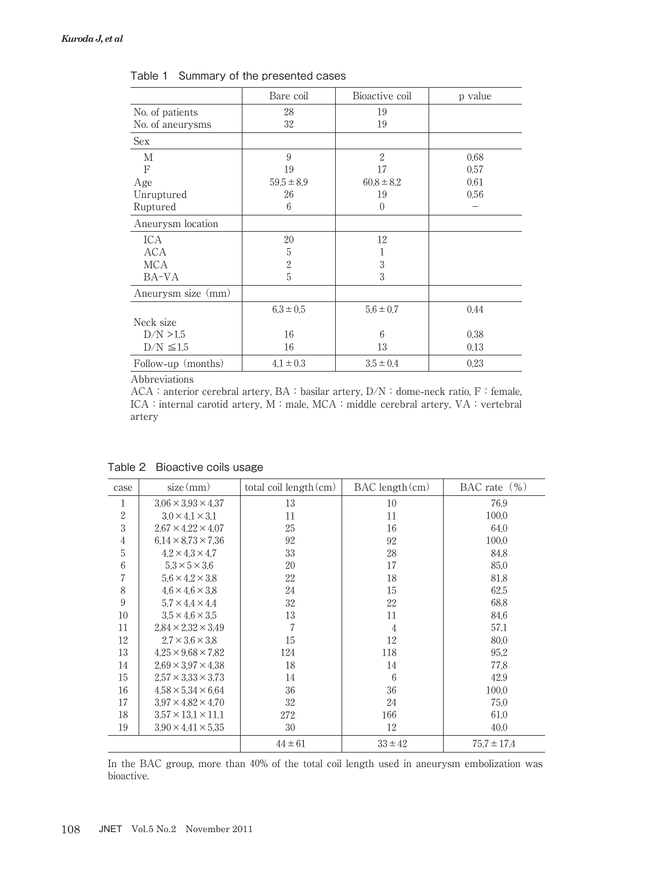|                       | Bare coil      | Bioactive coil | p value |
|-----------------------|----------------|----------------|---------|
| No. of patients       | 28             | 19             |         |
| No. of aneurysms      | 32             | 19             |         |
| Sex                   |                |                |         |
| M                     | 9              | $\overline{2}$ | 0.68    |
| F                     | 19             | 17             | 0.57    |
| Age                   | $59.5 \pm 8.9$ | $60.8 \pm 8.2$ | 0.61    |
| Unruptured            | 26             | 19             | 0.56    |
| Ruptured              | 6              | $\Omega$       |         |
| Aneurysm location     |                |                |         |
| ICA                   | 20             | 12             |         |
| <b>ACA</b>            | 5              |                |         |
| <b>MCA</b>            | $\overline{2}$ | 3              |         |
| BA-VA                 | 5              | 3              |         |
| Aneurysm size (mm)    |                |                |         |
|                       | $6.3 \pm 0.5$  | $5.6 \pm 0.7$  | 0.44    |
| Neck size             |                |                |         |
| D/N > 1.5             | 16             | 6              | 0.38    |
| $\rm{D/N}$ $\leq 1.5$ | 16             | 13             | 0.13    |
| Follow-up (months)    | $4.1 \pm 0.3$  | $3.5 \pm 0.4$  | 0.23    |

Table 1 Summary of the presented cases

Abbreviations

ACA:anterior cerebral artery, BA:basilar artery, D/N:dome**-**neck ratio, F:female, ICA: internal carotid artery, M: male, MCA: middle cerebral artery, VA: vertebral artery

| case             | size(mm)                       | total coil length (cm) | $BAC$ length $(cm)$ | BAC rate $(\%)$ |
|------------------|--------------------------------|------------------------|---------------------|-----------------|
| 1                | $3.06 \times 3.93 \times 4.37$ | 13                     | 10                  | 76.9            |
| $\boldsymbol{2}$ | $3.0 \times 4.1 \times 3.1$    | 11                     | 11                  | 100.0           |
| 3                | $2.67 \times 4.22 \times 4.07$ | 25                     | 16                  | 64.0            |
| 4                | $6.14 \times 8.73 \times 7.36$ | 92                     | 92                  | 100.0           |
| 5                | $4.2 \times 4.3 \times 4.7$    | 33                     | 28                  | 84.8            |
| $\boldsymbol{6}$ | $5.3 \times 5 \times 3.6$      | 20                     | 17                  | 85.0            |
| 7                | $5.6 \times 4.2 \times 3.8$    | 22                     | 18                  | 81.8            |
| 8                | $4.6 \times 4.6 \times 3.8$    | 24                     | 15                  | 62.5            |
| 9                | $5.7 \times 4.4 \times 4.4$    | 32                     | 22                  | 68.8            |
| 10               | $3.5 \times 4.6 \times 3.5$    | 13                     | 11                  | 84.6            |
| 11               | $2.84 \times 2.32 \times 3.49$ | 7                      | $\overline{4}$      | 57.1            |
| 12               | $2.7 \times 3.6 \times 3.8$    | 15                     | 12                  | 80.0            |
| 13               | $4.25 \times 9.68 \times 7.82$ | 124                    | 118                 | 95.2            |
| 14               | $2.69 \times 3.97 \times 4.38$ | 18                     | 14                  | 77.8            |
| 15               | $2.57 \times 3.33 \times 3.73$ | 14                     | 6                   | 42.9            |
| 16               | $4.58 \times 5.34 \times 6.64$ | 36                     | 36                  | 100.0           |
| 17               | $3.97 \times 4.82 \times 4.70$ | 32                     | 24                  | 75.0            |
| 18               | $3.57 \times 13.1 \times 11.1$ | 272                    | 166                 | 61.0            |
| 19               | $3.90 \times 4.41 \times 5.35$ | 30                     | 12                  | 40.0            |
|                  |                                | $44 \pm 61$            | $33 \pm 42$         | $75.7 \pm 17.4$ |

Table 2 Bioactive coils usage

In the BAC group, more than 40% of the total coil length used in aneurysm embolization was bioactive.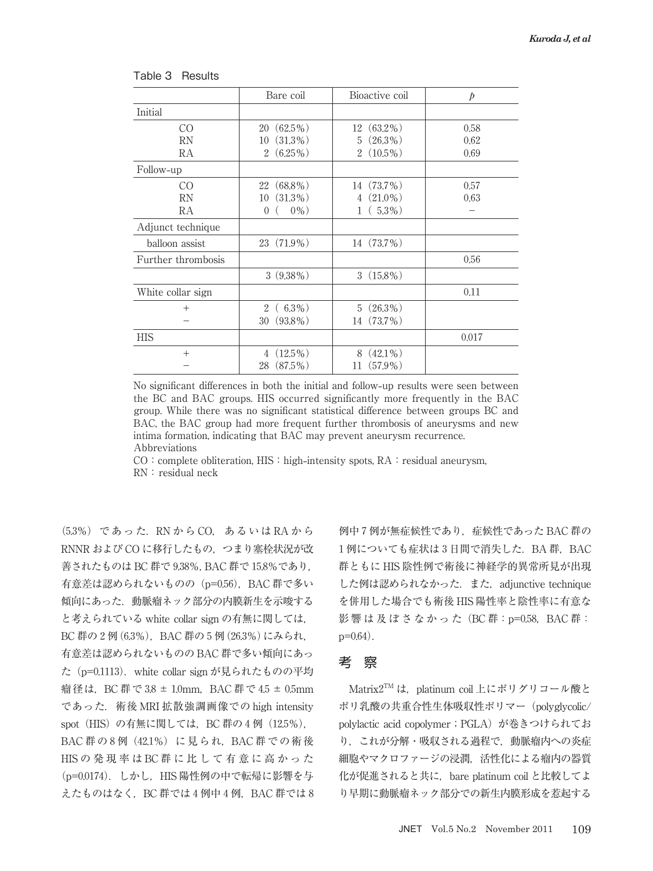|                    | Bare coil           | Bioactive coil               | $\dot{p}$ |
|--------------------|---------------------|------------------------------|-----------|
| Initial            |                     |                              |           |
| CO                 | $(62.5\%)$<br>20    | $12(63.2\%)$                 | 0.58      |
| RN                 | $(31.3\%)$<br>10    | $(26.3\%)$<br>5              | 0.62      |
| RA                 | $2(6.25\%)$         | $(10.5\%)$<br>$\overline{2}$ | 0.69      |
| Follow-up          |                     |                              |           |
| CO                 | $(68.8\%)$<br>22    | $(73.7\%)$<br>14             | 0.57      |
| <b>RN</b>          | $(31.3\%)$<br>10    | $(21.0\%)$<br>4              | 0.63      |
| RA                 | $0\%$ )<br>$\theta$ | $(5.3\%)$                    |           |
| Adjunct technique  |                     |                              |           |
| balloon assist     | $23(71.9\%)$        | 14 (73.7%)                   |           |
| Further thrombosis |                     |                              | 0.56      |
|                    | $3(9.38\%)$         | $3(15.8\%)$                  |           |
| White collar sign  |                     |                              | 0.11      |
| $^{+}$             | $2(6.3\%)$          | $5(26.3\%)$                  |           |
|                    | $(93.8\%)$<br>30    | $(73.7\%)$<br>14             |           |
| HIS                |                     |                              | 0.017     |
| $^{+}$             | $(12.5\%)$<br>4     | $(42.1\%)$<br>8              |           |
|                    | $(87.5\%)$<br>28    | $(57.9\%)$<br>11             |           |

Table 3 Results

No significant differences in both the initial and follow**-**up results were seen between the BC and BAC groups. HIS occurred significantly more frequently in the BAC group. While there was no significant statistical difference between groups BC and BAC, the BAC group had more frequent further thrombosis of aneurysms and new intima formation, indicating that BAC may prevent aneurysm recurrence. Abbreviations

CO: complete obliteration, HIS: high-intensity spots, RA: residual aneurysm,  $RN:residual$  neck

(5.3%)であった.RN から CO,あるいは RA から RNNR および CO に移行したもの,つまり塞栓状況が改 善されたものは BC 群で 9.38%,BAC 群で 15.8%であり, 有意差は認められないものの (p=0.56), BAC 群で多い 傾向にあった.動脈瘤ネック部分の内膜新生を示唆する と考えられている white collar sign の有無に関しては, BC 群の 2 例 (6.3%), BAC 群の 5 例 (26.3%) にみられ, 有意差は認められないものの BAC 群で多い傾向にあっ た(p=0.1113).white collar sign が見られたものの平均 瘤径は,BC 群で 3.8 ± 1.0mm,BAC 群で 4.5 ± 0.5mm であった.術後 MRI 拡散強調画像での high intensity spot (HIS) の有無に関しては, BC 群の 4 例 (12.5%), BAC 群の 8例 (42.1%) に見られ, BAC 群での術後 HISの発現率はBC群に比して有意に高かった (p=0.0174). しかし, HIS 陽性例の中で転帰に影響を与 えたものはなく, BC 群では 4 例中 4 例, BAC 群では 8

例中 7 例が無症候性であり、症候性であった BAC 群の 1例についても症状は3日間で消失した. BA 群, BAC 群ともに HIS 陰性例で術後に神経学的異常所見が出現 した例は認められなかった. また, adjunctive technique を併用した場合でも術後 HIS 陽性率と陰性率に有意な 影響は及ぼさなかった (BC群: p=0.58, BAC群: p=0.64).

#### 考 察

Matrix2TM は、platinum coil 上にポリグリコール酸と ポリ乳酸の共重合性生体吸収性ポリマー(polyglycolic/ polylactic acid copolymer; PGLA) が巻きつけられてお り,これが分解・吸収される過程で,動脈瘤内への炎症 細胞やマクロファージの浸潤,活性化による瘤内の器質 化が促進されると共に,bare platinum coil と比較してよ り早期に動脈瘤ネック部分での新生内膜形成を惹起する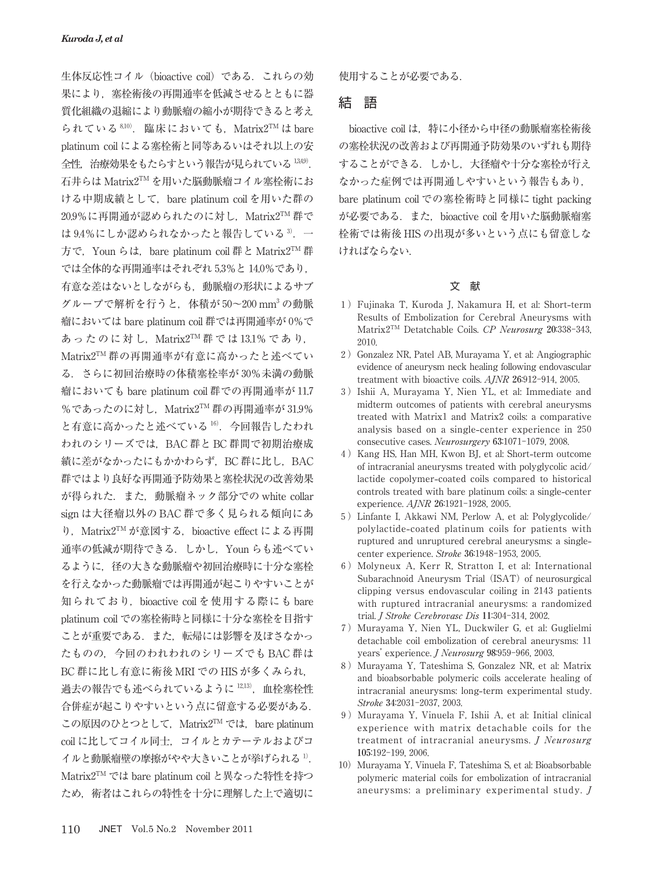生体反応性コイル (bioactive coil) である. これらの効 果により,塞栓術後の再開通率を低減させるとともに器 質化組織の退縮により動脈瘤の縮小が期待できると考え られている $8,10$ . 臨床においても, Matrix2TM は bare platinum coil による塞栓術と同等あるいはそれ以上の安 全性, 治療効果をもたらすという報告が見られている 1349). 石井らは Matrix2TM を用いた脳動脈瘤コイル塞栓術にお ける中期成績として、bare platinum coil を用いた群の  $20.9\%$ に再開通が認められたのに対し、Matrix $2^{TM}$ 群で は 9.4%にしか認められなかったと報告している 3. 一 方で, Youn らは, bare platinum coil 群と Matrix2<sup>™</sup>群 では全体的な再開通率はそれぞれ 5.3%と 14.0%であり, 有意な差はないとしながらも,動脈瘤の形状によるサブ グループで解析を行うと,体積が 50~200 mm<sup>3</sup> の動脈 瘤においては bare platinum coil 群では再開通率が 0%で あったのに対し, Matrix2<sup>TM</sup>群では13.1%であり, Matrix2TM 群の再開通率が有意に高かったと述べてい る.さらに初回治療時の体積塞栓率が 30%未満の動脈 瘤においても bare platinum coil 群での再開通率が 11.7 %であったのに対し、Matrix2TM 群の再開通率が 31.9% と有意に高かったと述べている <sup>16</sup>).今回報告したわれ われのシリーズでは,BAC 群と BC 群間で初期治療成 績に差がなかったにもかかわらず, BC 群に比し, BAC 群ではより良好な再開通予防効果と塞栓状況の改善効果 が得られた.また,動脈瘤ネック部分での white collar sign は大径瘤以外の BAC 群で多く見られる傾向にあ り, Matrix2TM が意図する, bioactive effect による再開 通率の低減が期待できる.しかし,Youn らも述べてい るように,径の大きな動脈瘤や初回治療時に十分な塞栓 を行えなかった動脈瘤では再開通が起こりやすいことが 知られており, bioactive coil を使用する際にも bare platinum coil での塞栓術時と同様に十分な塞栓を目指す ことが重要である. また、転帰には影響を及ぼさなかっ たものの,今回のわれわれのシリーズでも BAC 群は BC 群に比し有意に術後 MRI での HIS が多くみられ, 過去の報告でも述べられているように <sup>12</sup>,<sup>13</sup>),血栓塞栓性 合併症が起こりやすいという点に留意する必要がある. この原因のひとつとして, Matrix2TM では, bare platinum coil に比してコイル同士,コイルとカテーテルおよびコ イルと動脈瘤壁の摩擦がやや大きいことが挙げられる <sup>1</sup>). Matrix2TM では bare platinum coil と異なった特性を持つ ため,術者はこれらの特性を十分に理解した上で適切に

使用することが必要である.

#### 結 語

bioactive coil は、特に小径から中径の動脈瘤塞栓術後 の塞栓状況の改善および再開通予防効果のいずれも期待 することができる.しかし,大径瘤や十分な塞栓が行え なかった症例では再開通しやすいという報告もあり, bare platinum coil での塞栓術時と同様に tight packing が必要である. また. bioactive coil を用いた脳動脈瘤塞 栓術では術後 HIS の出現が多いという点にも留意しな ければならない.

#### 文 献

- 1)Fujinaka T, Kuroda J, Nakamura H, et al: Short**-**term Results of Embolization for Cerebral Aneurysms with Matrix2TM Detatchable Coils. CP Neurosurg 20:338-343, 2010.
- 2) Gonzalez NR, Patel AB, Murayama Y, et al: Angiographic evidence of aneurysm neck healing following endovascular treatment with bioactive coils. AJNR 26:912-914, 2005.
- 3)Ishii A, Murayama Y, Nien YL, et al: Immediate and midterm outcomes of patients with cerebral aneurysms treated with Matrix1 and Matrix2 coils: a comparative analysis based on a single**-**center experience in 250 consecutive cases. Neurosurgery 63:1071-1079, 2008.
- 4)Kang HS, Han MH, Kwon BJ, et al: Short**-**term outcome of intracranial aneurysms treated with polyglycolic acid/ lactide copolymer**-**coated coils compared to historical controls treated with bare platinum coils: a single**-**center experience. AJNR 26:1921-1928, 2005.
- 5)Linfante I, Akkawi NM, Perlow A, et al: Polyglycolide/ polylactide**-**coated platinum coils for patients with ruptured and unruptured cerebral aneurysms: a singlecenter experience. Stroke 36:1948-1953, 2005.
- 6)Molyneux A, Kerr R, Stratton I, et al: International Subarachnoid Aneurysm Trial (ISAT) of neurosurgical clipping versus endovascular coiling in 2143 patients with ruptured intracranial aneurysms: a randomized trial. J Stroke Cerebrovasc Dis 11:304-314, 2002.
- 7)Murayama Y, Nien YL, Duckwiler G, et al: Guglielmi detachable coil embolization of cerebral aneurysms: 11 years' experience. J Neurosurg 98:959-966, 2003.
- 8) Murayama Y, Tateshima S, Gonzalez NR, et al: Matrix and bioabsorbable polymeric coils accelerate healing of intracranial aneurysms: long**-**term experimental study. Stroke 34:2031-2037, 2003.
- 9)Murayama Y, Vinuela F, Ishii A, et al: Initial clinical experience with matrix detachable coils for the treatment of intracranial aneurysms. J Neurosurg 105:192-199, 2006.
- 10) Murayama Y, Vinuela F, Tateshima S, et al: Bioabsorbable polymeric material coils for embolization of intracranial aneurysms: a preliminary experimental study. J